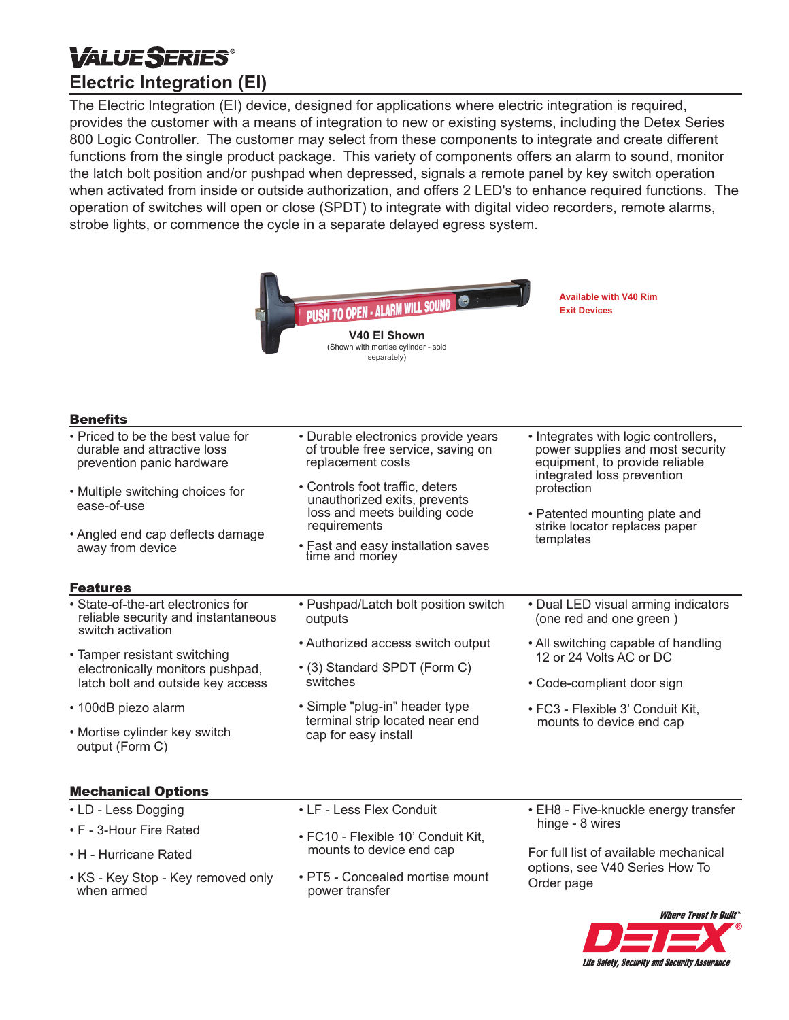# **VALUESERIES® Electric Integration (EI)**

The Electric Integration (EI) device, designed for applications where electric integration is required, provides the customer with a means of integration to new or existing systems, including the Detex Series 800 Logic Controller. The customer may select from these components to integrate and create different functions from the single product package. This variety of components offers an alarm to sound, monitor the latch bolt position and/or pushpad when depressed, signals a remote panel by key switch operation when activated from inside or outside authorization, and offers 2 LED's to enhance required functions. The operation of switches will open or close (SPDT) to integrate with digital video recorders, remote alarms, strobe lights, or commence the cycle in a separate delayed egress system.

|                                                                                                | <b>PUSH TO OPEN - ALARM WILL SOUND COMPANY</b><br>V40 El Shown<br>(Shown with mortise cylinder - sold<br>separately) | <b>Available with V40 Rim</b><br><b>Exit Devices</b>                                                                                             |
|------------------------------------------------------------------------------------------------|----------------------------------------------------------------------------------------------------------------------|--------------------------------------------------------------------------------------------------------------------------------------------------|
| <b>Benefits</b>                                                                                |                                                                                                                      |                                                                                                                                                  |
| • Priced to be the best value for<br>durable and attractive loss<br>prevention panic hardware  | • Durable electronics provide years<br>of trouble free service, saving on<br>replacement costs                       | • Integrates with logic controllers,<br>power supplies and most security<br>equipment, to provide reliable                                       |
| • Multiple switching choices for<br>ease-of-use                                                | • Controls foot traffic, deters<br>unauthorized exits, prevents<br>loss and meets building code                      | integrated loss prevention<br>protection<br>• Patented mounting plate and                                                                        |
| • Angled end cap deflects damage<br>away from device                                           | requirements<br>• Fast and easy installation saves<br>time and money                                                 | strike locator replaces paper<br>templates                                                                                                       |
| <b>Features</b>                                                                                |                                                                                                                      |                                                                                                                                                  |
| • State-of-the-art electronics for<br>reliable security and instantaneous<br>switch activation | • Pushpad/Latch bolt position switch<br>outputs                                                                      | • Dual LED visual arming indicators<br>(one red and one green)                                                                                   |
| • Tamper resistant switching                                                                   | • Authorized access switch output                                                                                    | • All switching capable of handling<br>12 or 24 Volts AC or DC                                                                                   |
| electronically monitors pushpad,<br>latch bolt and outside key access                          | • (3) Standard SPDT (Form C)<br>switches                                                                             | • Code-compliant door sign                                                                                                                       |
| • 100dB piezo alarm                                                                            | • Simple "plug-in" header type<br>terminal strip located near end<br>cap for easy install                            | • FC3 - Flexible 3' Conduit Kit,<br>mounts to device end cap                                                                                     |
| • Mortise cylinder key switch<br>output (Form C)                                               |                                                                                                                      |                                                                                                                                                  |
| <b>Mechanical Options</b>                                                                      |                                                                                                                      |                                                                                                                                                  |
| • LD - Less Dogging                                                                            | • LF - Less Flex Conduit                                                                                             | • EH8 - Five-knuckle energy transfer<br>hinge - 8 wires<br>For full list of available mechanical<br>options, see V40 Series How To<br>Order page |
| • F - 3-Hour Fire Rated                                                                        | • FC10 - Flexible 10' Conduit Kit,                                                                                   |                                                                                                                                                  |
| • H - Hurricane Rated                                                                          | mounts to device end cap                                                                                             |                                                                                                                                                  |
| • KS - Key Stop - Key removed only<br>when armed                                               | • PT5 - Concealed mortise mount<br>power transfer                                                                    |                                                                                                                                                  |